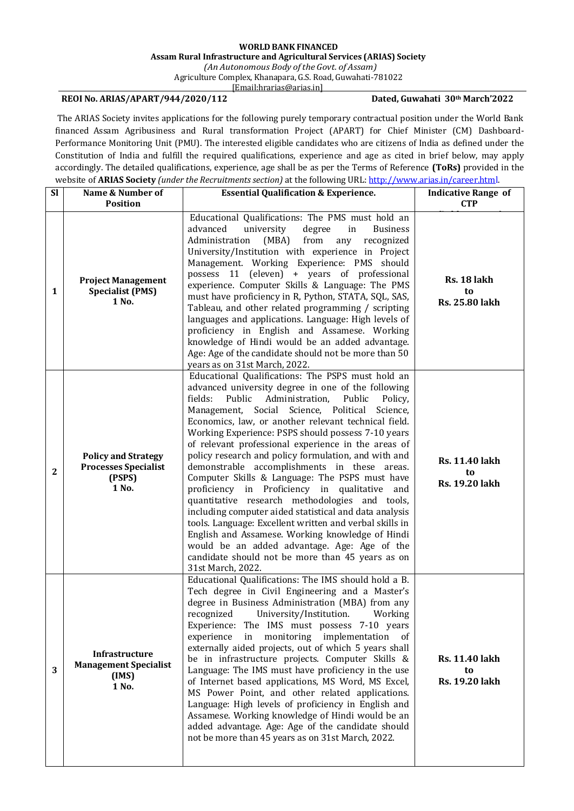## **WORLD BANK FINANCED Assam Rural Infrastructure and Agricultural Services (ARIAS) Society**

*(An Autonomous Body oftheGovt. of Assam)* Agriculture Complex, Khanapara, G.S. Road, Guwahati-781022

[\[Email:hrarias@arias.in\]](mailto:recruitments@arias.in)

## **REOI No. ARIAS/APART/944/2020/112 Dated, Guwahati 30th March'2022**

The ARIAS Society invites applications for the following purely temporary contractual position under the World Bank financed Assam Agribusiness and Rural transformation Project (APART) for Chief Minister (CM) Dashboard-Performance Monitoring Unit (PMU). The interested eligible candidates who are citizens of India as defined under the Constitution of India and fulfill the required qualifications, experience and age as cited in brief below, may apply accordingly. The detailed qualifications, experience, age shall be as per the Terms of Reference **(ToRs)** provided in the website of **ARIAS Society** *(under the Recruitments section)* at the following URL: [http://www.arias.in/career.html.](http://www.arias.in/career.html)

| <b>SI</b>    | Name & Number of                                                             | <b>Essential Qualification &amp; Experience.</b>                                                                                                                                                                                                                                                                                                                                                                                                                                                                                                                                                                                                                                                                                                                                                                                                                                                                                                              | <b>Indicative Range of</b>                    |
|--------------|------------------------------------------------------------------------------|---------------------------------------------------------------------------------------------------------------------------------------------------------------------------------------------------------------------------------------------------------------------------------------------------------------------------------------------------------------------------------------------------------------------------------------------------------------------------------------------------------------------------------------------------------------------------------------------------------------------------------------------------------------------------------------------------------------------------------------------------------------------------------------------------------------------------------------------------------------------------------------------------------------------------------------------------------------|-----------------------------------------------|
|              | <b>Position</b>                                                              |                                                                                                                                                                                                                                                                                                                                                                                                                                                                                                                                                                                                                                                                                                                                                                                                                                                                                                                                                               | <b>CTP</b>                                    |
| 1            | <b>Project Management</b><br><b>Specialist (PMS)</b><br>1 No.                | Educational Qualifications: The PMS must hold an<br>advanced<br>university<br>degree<br>in<br><b>Business</b><br>Administration<br>recognized<br>(MBA)<br>from<br>any<br>University/Institution with experience in Project<br>Management. Working Experience: PMS should<br>possess 11 (eleven) + years of professional<br>experience. Computer Skills & Language: The PMS<br>must have proficiency in R, Python, STATA, SQL, SAS,<br>Tableau, and other related programming / scripting<br>languages and applications. Language: High levels of<br>proficiency in English and Assamese. Working<br>knowledge of Hindi would be an added advantage.<br>Age: Age of the candidate should not be more than 50<br>years as on 31st March, 2022.                                                                                                                                                                                                                  | Rs. 18 lakh<br>to<br>Rs. 25.80 lakh           |
| $\mathbf{2}$ | <b>Policy and Strategy</b><br><b>Processes Specialist</b><br>(PSPS)<br>1 No. | Educational Qualifications: The PSPS must hold an<br>advanced university degree in one of the following<br>fields:<br>Public Administration,<br>Public<br>Policy,<br>Management, Social Science, Political<br>Science,<br>Economics, law, or another relevant technical field.<br>Working Experience: PSPS should possess 7-10 years<br>of relevant professional experience in the areas of<br>policy research and policy formulation, and with and<br>demonstrable accomplishments in these areas.<br>Computer Skills & Language: The PSPS must have<br>proficiency in Proficiency in qualitative<br>and<br>quantitative research methodologies and tools,<br>including computer aided statistical and data analysis<br>tools. Language: Excellent written and verbal skills in<br>English and Assamese. Working knowledge of Hindi<br>would be an added advantage. Age: Age of the<br>candidate should not be more than 45 years as on<br>31st March, 2022. | <b>Rs. 11.40 lakh</b><br>to<br>Rs. 19.20 lakh |
| 3            | Infrastructure<br><b>Management Specialist</b><br>(IMS)<br>1 No.             | Educational Qualifications: The IMS should hold a B.<br>Tech degree in Civil Engineering and a Master's<br>degree in Business Administration (MBA) from any<br>recognized<br>University/Institution.<br>Working<br>Experience: The IMS must possess 7-10 years<br>experience<br>in<br>monitoring implementation of<br>externally aided projects, out of which 5 years shall<br>be in infrastructure projects. Computer Skills &<br>Language: The IMS must have proficiency in the use<br>of Internet based applications, MS Word, MS Excel,<br>MS Power Point, and other related applications.<br>Language: High levels of proficiency in English and<br>Assamese. Working knowledge of Hindi would be an<br>added advantage. Age: Age of the candidate should<br>not be more than 45 years as on 31st March, 2022.                                                                                                                                           | Rs. 11.40 lakh<br>to<br><b>Rs. 19.20 lakh</b> |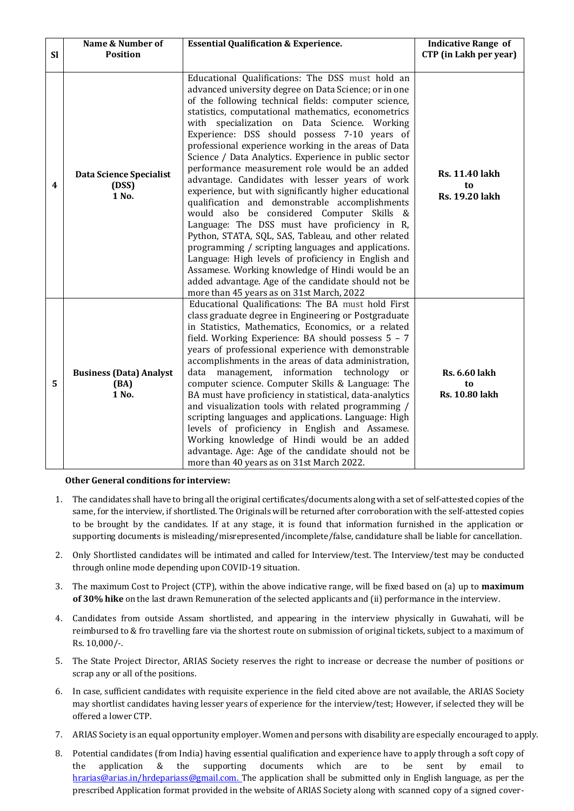|           | Name & Number of                                 | <b>Essential Qualification &amp; Experience.</b>                                                                                                                                                                                                                                                                                                                                                                                                                                                                                                                                                                                                                                                                                                                                                                                                                                                                                                                                                                                                                                      | <b>Indicative Range of</b>                           |
|-----------|--------------------------------------------------|---------------------------------------------------------------------------------------------------------------------------------------------------------------------------------------------------------------------------------------------------------------------------------------------------------------------------------------------------------------------------------------------------------------------------------------------------------------------------------------------------------------------------------------------------------------------------------------------------------------------------------------------------------------------------------------------------------------------------------------------------------------------------------------------------------------------------------------------------------------------------------------------------------------------------------------------------------------------------------------------------------------------------------------------------------------------------------------|------------------------------------------------------|
| <b>SI</b> | <b>Position</b>                                  |                                                                                                                                                                                                                                                                                                                                                                                                                                                                                                                                                                                                                                                                                                                                                                                                                                                                                                                                                                                                                                                                                       | CTP (in Lakh per year)                               |
| 4         | <b>Data Science Specialist</b><br>(DSS)<br>1 No. | Educational Qualifications: The DSS must hold an<br>advanced university degree on Data Science; or in one<br>of the following technical fields: computer science,<br>statistics, computational mathematics, econometrics<br>with specialization on Data Science. Working<br>Experience: DSS should possess 7-10 years of<br>professional experience working in the areas of Data<br>Science / Data Analytics. Experience in public sector<br>performance measurement role would be an added<br>advantage. Candidates with lesser years of work<br>experience, but with significantly higher educational<br>qualification and demonstrable accomplishments<br>would also be considered Computer Skills &<br>Language: The DSS must have proficiency in R,<br>Python, STATA, SQL, SAS, Tableau, and other related<br>programming / scripting languages and applications.<br>Language: High levels of proficiency in English and<br>Assamese. Working knowledge of Hindi would be an<br>added advantage. Age of the candidate should not be<br>more than 45 years as on 31st March, 2022 | <b>Rs. 11.40 lakh</b><br>to<br><b>Rs. 19.20 lakh</b> |
| 5         | <b>Business (Data) Analyst</b><br>(BA)<br>1 No.  | Educational Qualifications: The BA must hold First<br>class graduate degree in Engineering or Postgraduate<br>in Statistics, Mathematics, Economics, or a related<br>field. Working Experience: BA should possess 5 - 7<br>years of professional experience with demonstrable<br>accomplishments in the areas of data administration,<br>data<br>management, information technology<br>or<br>computer science. Computer Skills & Language: The<br>BA must have proficiency in statistical, data-analytics<br>and visualization tools with related programming /<br>scripting languages and applications. Language: High<br>levels of proficiency in English and Assamese.<br>Working knowledge of Hindi would be an added<br>advantage. Age: Age of the candidate should not be<br>more than 40 years as on 31st March 2022.                                                                                                                                                                                                                                                          | <b>Rs. 6.60 lakh</b><br>to<br><b>Rs. 10.80 lakh</b>  |

## **Other General conditions for interview:**

- 1. The candidates shall have to bring all the original certificates/documents along with a set of self-attested copies of the same, for the interview, if shortlisted. The Originals will be returned after corroboration with the self-attested copies to be brought by the candidates. If at any stage, it is found that information furnished in the application or supporting documents is misleading/misrepresented/incomplete/false, candidature shall be liable for cancellation.
- 2. Only Shortlisted candidates will be intimated and called for Interview/test. The Interview/test may be conducted through online mode depending upon COVID-19 situation.
- 3. The maximum Cost to Project (CTP), within the above indicative range, will be fixed based on (a) up to **maximum of 30% hike** on the last drawn Remuneration of the selected applicants and (ii) performance in the interview.
- 4. Candidates from outside Assam shortlisted, and appearing in the interview physically in Guwahati, will be reimbursed to & fro travelling fare via the shortest route on submission of original tickets, subject to a maximum of Rs. 10,000/-.
- 5. The State Project Director, ARIAS Society reserves the right to increase or decrease the number of positions or scrap any or all of the positions.
- 6. In case, sufficient candidates with requisite experience in the field cited above are not available, the ARIAS Society may shortlist candidates having lesser years of experience for the interview/test; However, if selected they will be offered a lower CTP.
- 7. ARIAS Society is an equal opportunity employer. Women and persons with disability are especially encouraged to apply.
- 8. Potential candidates (from India) having essential qualification and experience have to apply through a soft copy of the application & the supporting documents which are to be sent by email to [hrarias@arias.in/hrdepariass@gmail.com. T](mailto:hrarias@arias.in/hrdepariass@gmail.com.)he application shall be submitted only in English language, as per the prescribed Application format provided in the website of ARIAS Society along with scanned copy of a signed cover-